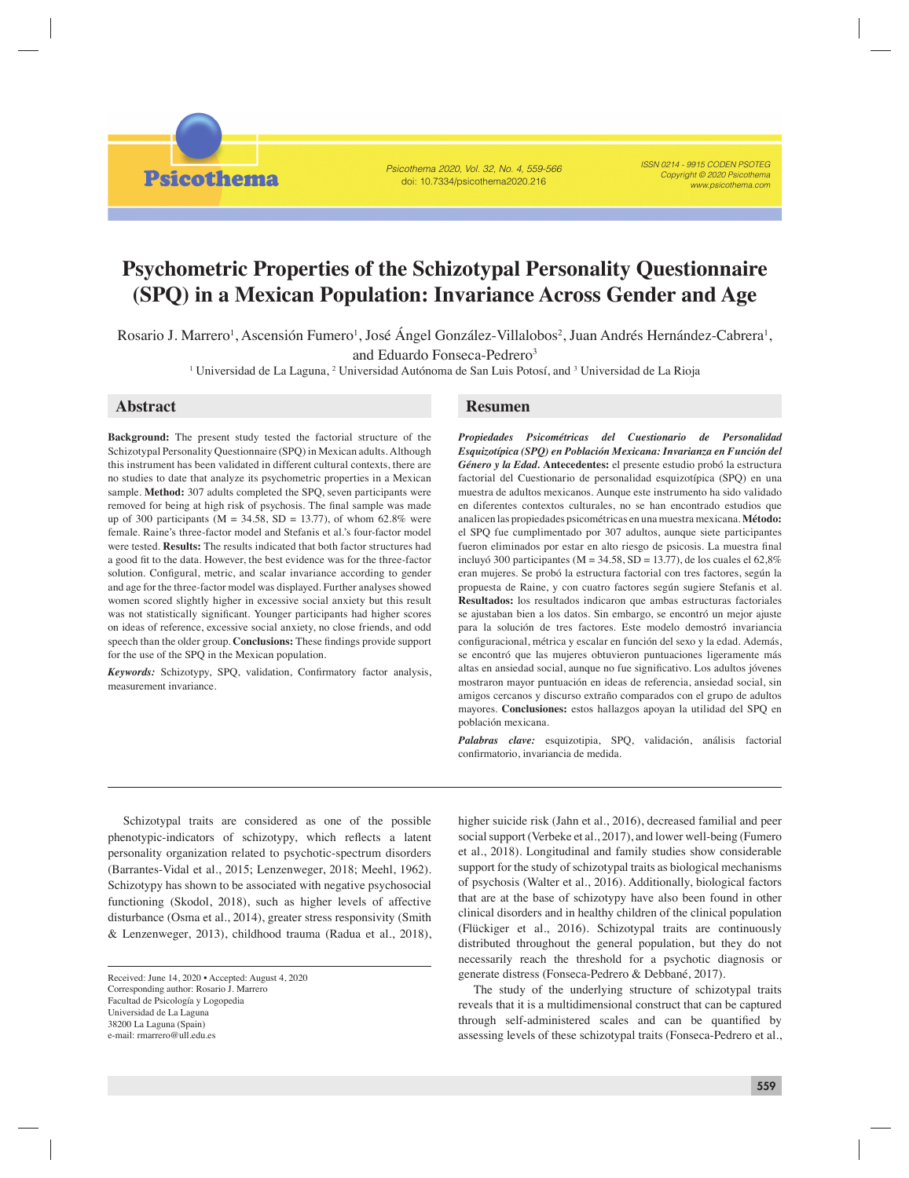Psicothema

Psicothema 2020, Vol. 32, No. 4, 559-566 doi: 10.7334/psicothema2020.216

ISSN 0214 - 9915 CODEN PSOTEG Copyright © 2020 Psicothema www.psicothema.com

# **Psychometric Properties of the Schizotypal Personality Questionnaire (SPQ) in a Mexican Population: Invariance Across Gender and Age**

Rosario J. Marrero<sup>1</sup>, Ascensión Fumero<sup>1</sup>, José Ángel González-Villalobos<sup>2</sup>, Juan Andrés Hernández-Cabrera<sup>1</sup>, and Eduardo Fonseca-Pedrero<sup>3</sup>

<sup>1</sup> Universidad de La Laguna, <sup>2</sup> Universidad Autónoma de San Luis Potosí, and <sup>3</sup> Universidad de La Rioja

**Background:** The present study tested the factorial structure of the Schizotypal Personality Questionnaire (SPQ) in Mexican adults. Although this instrument has been validated in different cultural contexts, there are no studies to date that analyze its psychometric properties in a Mexican sample. **Method:** 307 adults completed the SPQ, seven participants were removed for being at high risk of psychosis. The final sample was made up of 300 participants ( $M = 34.58$ ,  $SD = 13.77$ ), of whom 62.8% were female. Raine's three-factor model and Stefanis et al.'s four-factor model were tested. **Results:** The results indicated that both factor structures had a good fit to the data. However, the best evidence was for the three-factor solution. Configural, metric, and scalar invariance according to gender and age for the three-factor model was displayed. Further analyses showed women scored slightly higher in excessive social anxiety but this result was not statistically significant. Younger participants had higher scores on ideas of reference, excessive social anxiety, no close friends, and odd speech than the older group. **Conclusions:** These findings provide support for the use of the SPQ in the Mexican population.

Keywords: Schizotypy, SPQ, validation, Confirmatory factor analysis, measurement invariance.

### **Abstract Resumen**

*Propiedades Psicométricas del Cuestionario de Personalidad Esquizotípica (SPQ) en Población Mexicana: Invarianza en Función del Género y la Edad.* **Antecedentes:** el presente estudio probó la estructura factorial del Cuestionario de personalidad esquizotípica (SPQ) en una muestra de adultos mexicanos. Aunque este instrumento ha sido validado en diferentes contextos culturales, no se han encontrado estudios que analicen las propiedades psicométricas en una muestra mexicana. **Método:**  el SPQ fue cumplimentado por 307 adultos, aunque siete participantes fueron eliminados por estar en alto riesgo de psicosis. La muestra final incluyó 300 participantes ( $M = 34.58$ , SD = 13.77), de los cuales el 62,8% eran mujeres. Se probó la estructura factorial con tres factores, según la propuesta de Raine, y con cuatro factores según sugiere Stefanis et al. **Resultados:** los resultados indicaron que ambas estructuras factoriales se ajustaban bien a los datos. Sin embargo, se encontró un mejor ajuste para la solución de tres factores. Este modelo demostró invariancia configuracional, métrica y escalar en función del sexo y la edad. Además, se encontró que las mujeres obtuvieron puntuaciones ligeramente más altas en ansiedad social, aunque no fue significativo. Los adultos jóvenes mostraron mayor puntuación en ideas de referencia, ansiedad social, sin amigos cercanos y discurso extraño comparados con el grupo de adultos mayores. **Conclusiones:** estos hallazgos apoyan la utilidad del SPQ en población mexicana.

*Palabras clave:* esquizotipia, SPQ, validación, análisis factorial confirmatorio, invariancia de medida.

Schizotypal traits are considered as one of the possible phenotypic-indicators of schizotypy, which reflects a latent personality organization related to psychotic-spectrum disorders (Barrantes-Vidal et al., 2015; Lenzenweger, 2018; Meehl, 1962). Schizotypy has shown to be associated with negative psychosocial functioning (Skodol, 2018), such as higher levels of affective disturbance (Osma et al., 2014), greater stress responsivity (Smith & Lenzenweger, 2013), childhood trauma (Radua et al., 2018), higher suicide risk (Jahn et al., 2016), decreased familial and peer social support (Verbeke et al., 2017), and lower well-being (Fumero et al., 2018). Longitudinal and family studies show considerable support for the study of schizotypal traits as biological mechanisms of psychosis (Walter et al., 2016). Additionally, biological factors that are at the base of schizotypy have also been found in other clinical disorders and in healthy children of the clinical population (Flückiger et al., 2016). Schizotypal traits are continuously distributed throughout the general population, but they do not necessarily reach the threshold for a psychotic diagnosis or generate distress (Fonseca-Pedrero & Debbané, 2017).

The study of the underlying structure of schizotypal traits reveals that it is a multidimensional construct that can be captured through self-administered scales and can be quantified by assessing levels of these schizotypal traits (Fonseca-Pedrero et al.,

Received: June 14, 2020 • Accepted: August 4, 2020 Corresponding author: Rosario J. Marrero Facultad de Psicología y Logopedia Universidad de La Laguna 38200 La Laguna (Spain) e-mail: rmarrero@ull.edu.es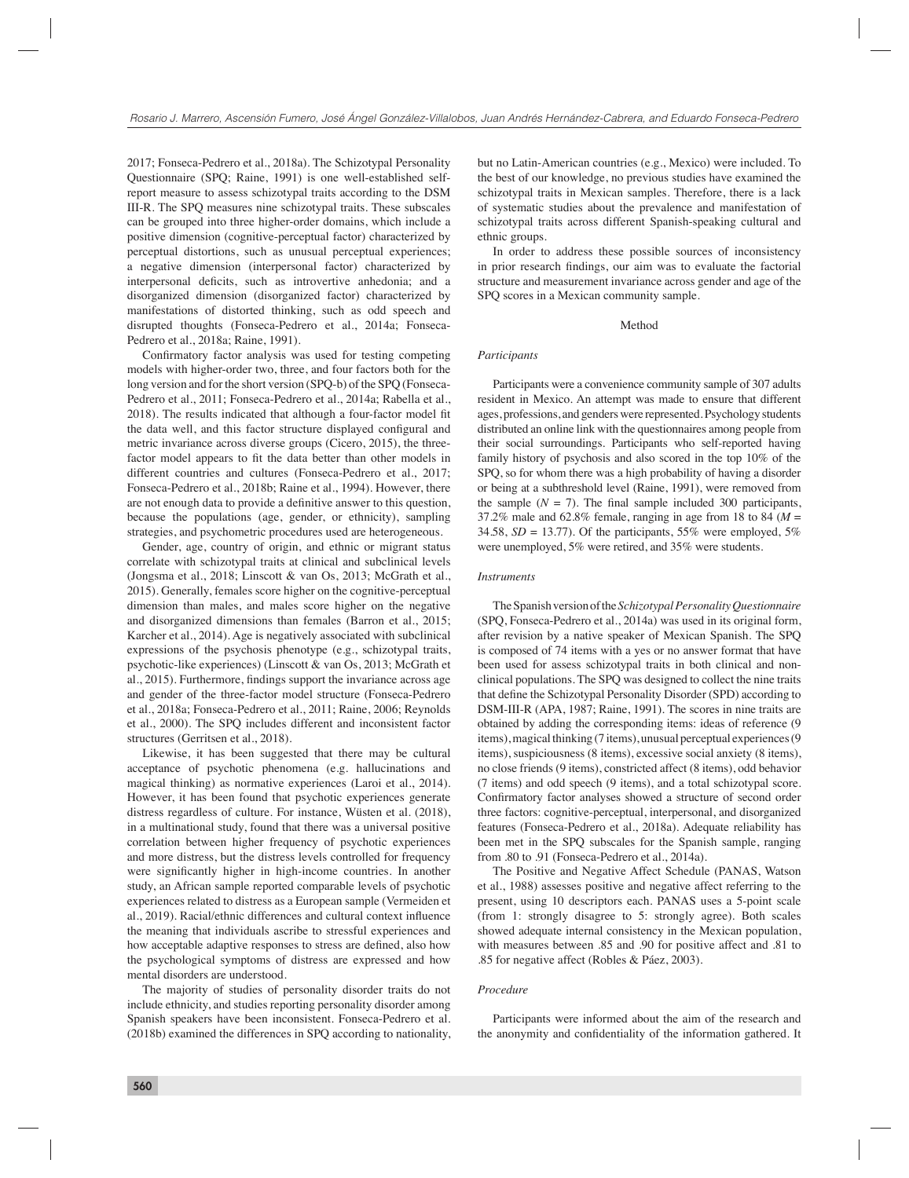2017; Fonseca-Pedrero et al., 2018a). The Schizotypal Personality Questionnaire (SPQ; Raine, 1991) is one well-established selfreport measure to assess schizotypal traits according to the DSM III-R. The SPQ measures nine schizotypal traits. These subscales can be grouped into three higher-order domains, which include a positive dimension (cognitive-perceptual factor) characterized by perceptual distortions, such as unusual perceptual experiences; a negative dimension (interpersonal factor) characterized by interpersonal deficits, such as introvertive anhedonia; and a disorganized dimension (disorganized factor) characterized by manifestations of distorted thinking, such as odd speech and disrupted thoughts (Fonseca-Pedrero et al., 2014a; Fonseca-Pedrero et al., 2018a; Raine, 1991).

Confirmatory factor analysis was used for testing competing models with higher-order two, three, and four factors both for the long version and for the short version (SPQ-b) of the SPQ (Fonseca-Pedrero et al., 2011; Fonseca-Pedrero et al., 2014a; Rabella et al., 2018). The results indicated that although a four-factor model fit the data well, and this factor structure displayed configural and metric invariance across diverse groups (Cicero, 2015), the threefactor model appears to fit the data better than other models in different countries and cultures (Fonseca-Pedrero et al., 2017; Fonseca-Pedrero et al., 2018b; Raine et al., 1994). However, there are not enough data to provide a definitive answer to this question, because the populations (age, gender, or ethnicity), sampling strategies, and psychometric procedures used are heterogeneous.

Gender, age, country of origin, and ethnic or migrant status correlate with schizotypal traits at clinical and subclinical levels (Jongsma et al., 2018; Linscott & van Os, 2013; McGrath et al., 2015). Generally, females score higher on the cognitive-perceptual dimension than males, and males score higher on the negative and disorganized dimensions than females (Barron et al., 2015; Karcher et al., 2014). Age is negatively associated with subclinical expressions of the psychosis phenotype (e.g., schizotypal traits, psychotic-like experiences) (Linscott & van Os, 2013; McGrath et al., 2015). Furthermore, findings support the invariance across age and gender of the three-factor model structure (Fonseca-Pedrero et al., 2018a; Fonseca-Pedrero et al., 2011; Raine, 2006; Reynolds et al., 2000). The SPQ includes different and inconsistent factor structures (Gerritsen et al., 2018).

Likewise, it has been suggested that there may be cultural acceptance of psychotic phenomena (e.g. hallucinations and magical thinking) as normative experiences (Laroi et al., 2014). However, it has been found that psychotic experiences generate distress regardless of culture. For instance, Wüsten et al. (2018), in a multinational study, found that there was a universal positive correlation between higher frequency of psychotic experiences and more distress, but the distress levels controlled for frequency were significantly higher in high-income countries. In another study, an African sample reported comparable levels of psychotic experiences related to distress as a European sample (Vermeiden et al., 2019). Racial/ethnic differences and cultural context influence the meaning that individuals ascribe to stressful experiences and how acceptable adaptive responses to stress are defined, also how the psychological symptoms of distress are expressed and how mental disorders are understood.

The majority of studies of personality disorder traits do not include ethnicity, and studies reporting personality disorder among Spanish speakers have been inconsistent. Fonseca-Pedrero et al. (2018b) examined the differences in SPQ according to nationality, but no Latin-American countries (e.g., Mexico) were included. To the best of our knowledge, no previous studies have examined the schizotypal traits in Mexican samples. Therefore, there is a lack of systematic studies about the prevalence and manifestation of schizotypal traits across different Spanish-speaking cultural and ethnic groups.

In order to address these possible sources of inconsistency in prior research findings, our aim was to evaluate the factorial structure and measurement invariance across gender and age of the SPQ scores in a Mexican community sample.

#### Method

## *Participants*

Participants were a convenience community sample of 307 adults resident in Mexico. An attempt was made to ensure that different ages, professions, and genders were represented. Psychology students distributed an online link with the questionnaires among people from their social surroundings. Participants who self-reported having family history of psychosis and also scored in the top 10% of the SPQ, so for whom there was a high probability of having a disorder or being at a subthreshold level (Raine, 1991), were removed from the sample  $(N = 7)$ . The final sample included 300 participants, 37.2% male and  $62.8\%$  female, ranging in age from 18 to 84 ( $M =$ 34.58, *SD* = 13.77). Of the participants, 55% were employed, 5% were unemployed, 5% were retired, and 35% were students.

#### *Instruments*

The Spanish version of the *Schizotypal Personality Questionnaire* (SPQ, Fonseca-Pedrero et al., 2014a) was used in its original form, after revision by a native speaker of Mexican Spanish. The SPQ is composed of 74 items with a yes or no answer format that have been used for assess schizotypal traits in both clinical and nonclinical populations. The SPQ was designed to collect the nine traits that define the Schizotypal Personality Disorder (SPD) according to DSM-III-R (APA, 1987; Raine, 1991). The scores in nine traits are obtained by adding the corresponding items: ideas of reference (9 items), magical thinking (7 items), unusual perceptual experiences (9 items), suspiciousness (8 items), excessive social anxiety (8 items), no close friends (9 items), constricted affect (8 items), odd behavior (7 items) and odd speech (9 items), and a total schizotypal score. Confirmatory factor analyses showed a structure of second order three factors: cognitive-perceptual, interpersonal, and disorganized features (Fonseca-Pedrero et al., 2018a). Adequate reliability has been met in the SPQ subscales for the Spanish sample, ranging from .80 to .91 (Fonseca-Pedrero et al., 2014a).

The Positive and Negative Affect Schedule (PANAS, Watson et al., 1988) assesses positive and negative affect referring to the present, using 10 descriptors each. PANAS uses a 5-point scale (from 1: strongly disagree to 5: strongly agree). Both scales showed adequate internal consistency in the Mexican population, with measures between .85 and .90 for positive affect and .81 to .85 for negative affect (Robles & Páez, 2003).

#### *Procedure*

Participants were informed about the aim of the research and the anonymity and confidentiality of the information gathered. It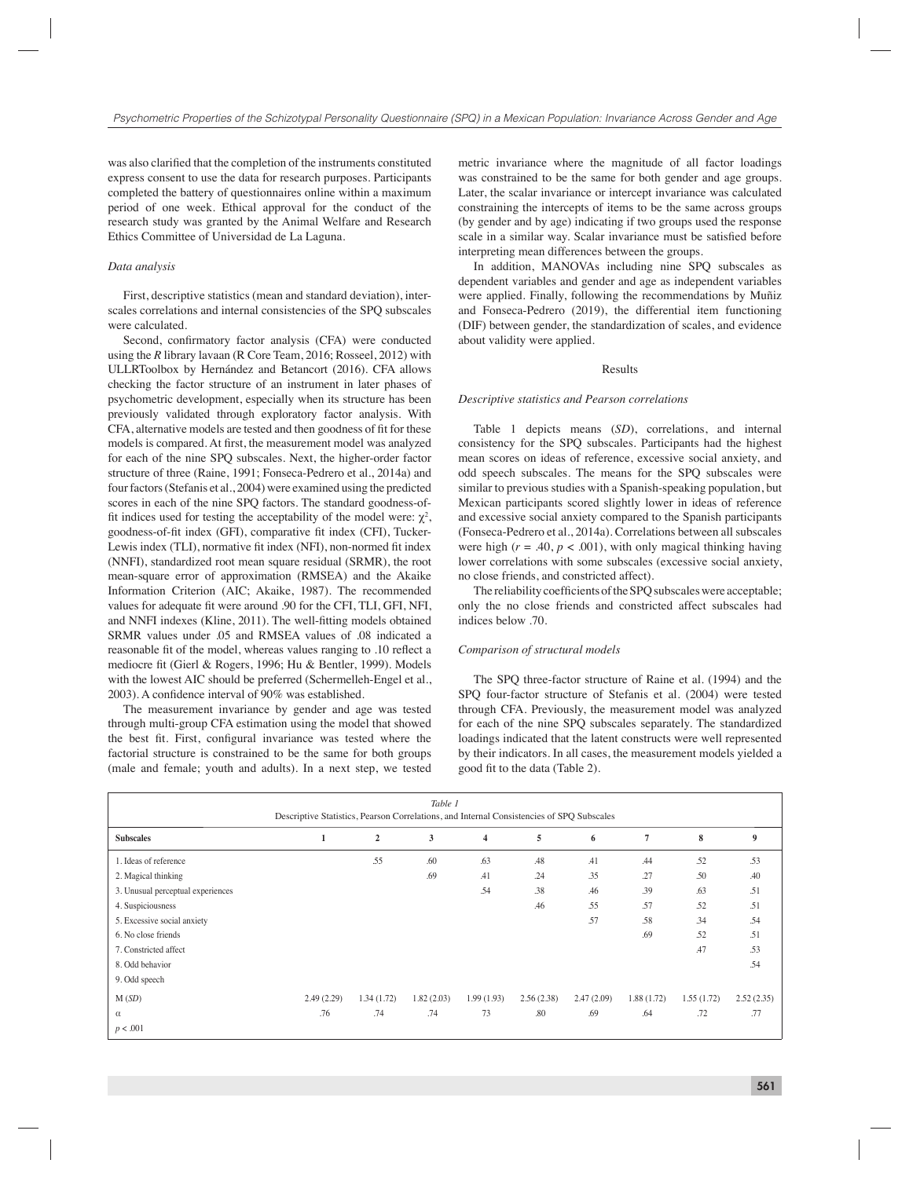was also clarified that the completion of the instruments constituted express consent to use the data for research purposes. Participants completed the battery of questionnaires online within a maximum period of one week. Ethical approval for the conduct of the research study was granted by the Animal Welfare and Research Ethics Committee of Universidad de La Laguna.

#### *Data analysis*

First, descriptive statistics (mean and standard deviation), interscales correlations and internal consistencies of the SPQ subscales were calculated.

Second, confirmatory factor analysis (CFA) were conducted using the *R* library lavaan (R Core Team, 2016; Rosseel, 2012) with ULLRToolbox by Hernández and Betancort (2016). CFA allows checking the factor structure of an instrument in later phases of psychometric development, especially when its structure has been previously validated through exploratory factor analysis. With CFA, alternative models are tested and then goodness of fit for these models is compared. At first, the measurement model was analyzed for each of the nine SPQ subscales. Next, the higher-order factor structure of three (Raine, 1991; Fonseca-Pedrero et al., 2014a) and four factors (Stefanis et al., 2004) were examined using the predicted scores in each of the nine SPQ factors. The standard goodness-offit indices used for testing the acceptability of the model were:  $\chi^2$ , goodness-of-fit index (GFI), comparative fit index (CFI), Tucker-Lewis index (TLI), normative fit index (NFI), non-normed fit index (NNFI), standardized root mean square residual (SRMR), the root mean-square error of approximation (RMSEA) and the Akaike Information Criterion (AIC; Akaike, 1987). The recommended values for adequate fit were around .90 for the CFI, TLI, GFI, NFI, and NNFI indexes (Kline, 2011). The well-fitting models obtained SRMR values under .05 and RMSEA values of .08 indicated a reasonable fit of the model, whereas values ranging to .10 reflect a mediocre fit (Gierl & Rogers, 1996; Hu & Bentler, 1999). Models with the lowest AIC should be preferred (Schermelleh-Engel et al., 2003). A confidence interval of 90% was established.

The measurement invariance by gender and age was tested through multi-group CFA estimation using the model that showed the best fit. First, configural invariance was tested where the factorial structure is constrained to be the same for both groups (male and female; youth and adults). In a next step, we tested

metric invariance where the magnitude of all factor loadings was constrained to be the same for both gender and age groups. Later, the scalar invariance or intercept invariance was calculated constraining the intercepts of items to be the same across groups (by gender and by age) indicating if two groups used the response scale in a similar way. Scalar invariance must be satisfied before interpreting mean differences between the groups.

In addition, MANOVAs including nine SPQ subscales as dependent variables and gender and age as independent variables were applied. Finally, following the recommendations by Muñiz and Fonseca-Pedrero (2019), the differential item functioning (DIF) between gender, the standardization of scales, and evidence about validity were applied.

### Results

#### *Descriptive statistics and Pearson correlations*

Table 1 depicts means (*SD*), correlations, and internal consistency for the SPQ subscales. Participants had the highest mean scores on ideas of reference, excessive social anxiety, and odd speech subscales. The means for the SPQ subscales were similar to previous studies with a Spanish-speaking population, but Mexican participants scored slightly lower in ideas of reference and excessive social anxiety compared to the Spanish participants (Fonseca-Pedrero et al., 2014a). Correlations between all subscales were high  $(r = .40, p < .001)$ , with only magical thinking having lower correlations with some subscales (excessive social anxiety, no close friends, and constricted affect).

The reliability coefficients of the SPQ subscales were acceptable; only the no close friends and constricted affect subscales had indices below .70.

#### *Comparison of structural models*

The SPQ three-factor structure of Raine et al. (1994) and the SPQ four-factor structure of Stefanis et al. (2004) were tested through CFA. Previously, the measurement model was analyzed for each of the nine SPQ subscales separately. The standardized loadings indicated that the latent constructs were well represented by their indicators. In all cases, the measurement models yielded a good fit to the data (Table 2).

|                                                                                           |              |                | Table 1    |                |            |            |                |            |            |  |  |  |
|-------------------------------------------------------------------------------------------|--------------|----------------|------------|----------------|------------|------------|----------------|------------|------------|--|--|--|
| Descriptive Statistics, Pearson Correlations, and Internal Consistencies of SPQ Subscales |              |                |            |                |            |            |                |            |            |  |  |  |
| <b>Subscales</b>                                                                          | $\mathbf{1}$ | $\overline{2}$ | 3          | $\overline{4}$ | 5          | 6          | $\overline{7}$ | 8          | 9          |  |  |  |
| 1. Ideas of reference                                                                     |              | .55            | .60        | .63            | .48        | .41        | .44            | .52        | .53        |  |  |  |
| 2. Magical thinking                                                                       |              |                | .69        | .41            | .24        | .35        | .27            | .50        | .40        |  |  |  |
| 3. Unusual perceptual experiences                                                         |              |                |            | .54            | .38        | .46        | .39            | .63        | .51        |  |  |  |
| 4. Suspiciousness                                                                         |              |                |            |                | .46        | .55        | .57            | .52        | .51        |  |  |  |
| 5. Excessive social anxiety                                                               |              |                |            |                |            | .57        | .58            | .34        | .54        |  |  |  |
| 6. No close friends                                                                       |              |                |            |                |            |            | .69            | .52        | .51        |  |  |  |
| 7. Constricted affect                                                                     |              |                |            |                |            |            |                | .47        | .53        |  |  |  |
| 8. Odd behavior                                                                           |              |                |            |                |            |            |                |            | .54        |  |  |  |
| 9. Odd speech                                                                             |              |                |            |                |            |            |                |            |            |  |  |  |
| M(SD)                                                                                     | 2.49(2.29)   | 1.34(1.72)     | 1.82(2.03) | 1.99(1.93)     | 2.56(2.38) | 2.47(2.09) | 1.88 (1.72)    | 1.55(1.72) | 2.52(2.35) |  |  |  |
| $\alpha$                                                                                  | .76          | .74            | .74        | 73             | .80        | .69        | .64            | .72        | .77        |  |  |  |
| p < .001                                                                                  |              |                |            |                |            |            |                |            |            |  |  |  |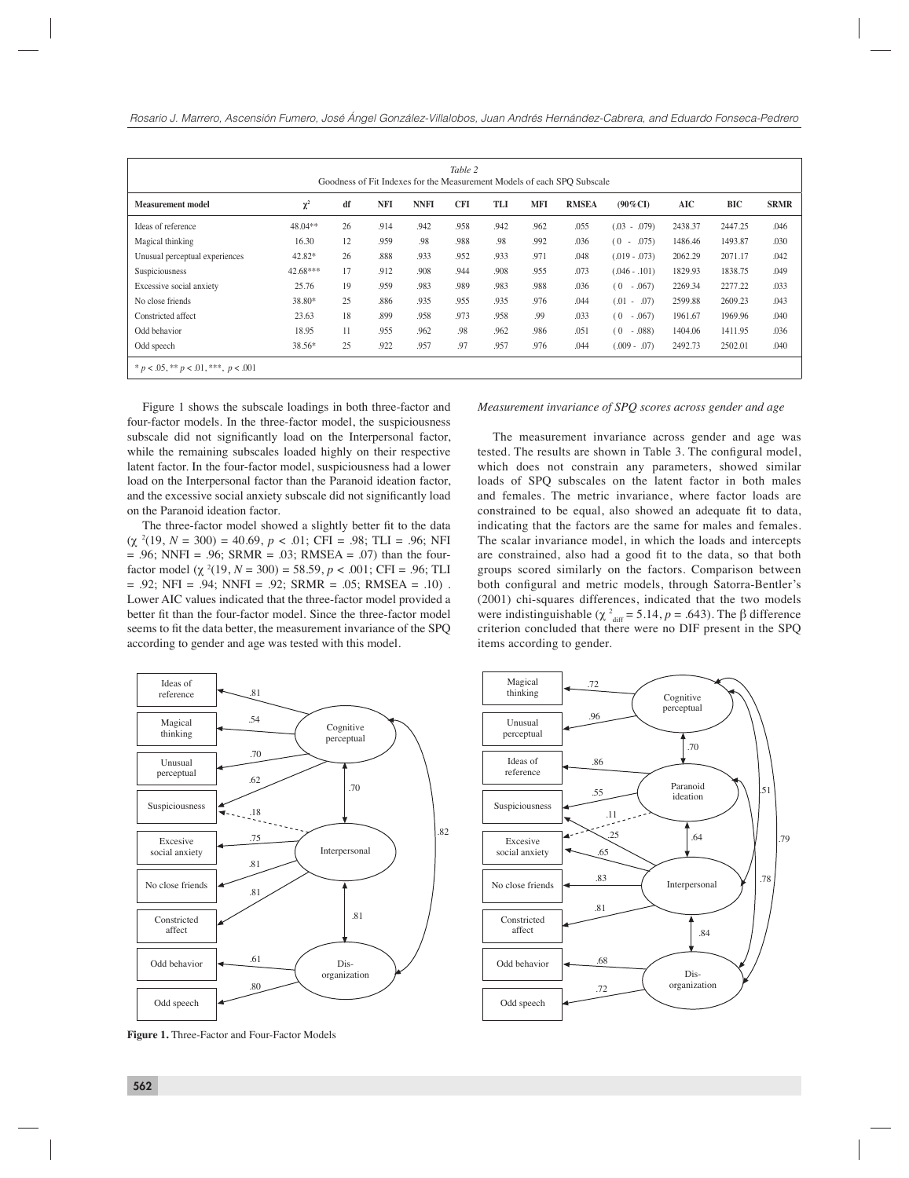| Table 2<br>Goodness of Fit Indexes for the Measurement Models of each SPO Subscale |            |    |            |             |            |      |            |              |                          |         |         |             |
|------------------------------------------------------------------------------------|------------|----|------------|-------------|------------|------|------------|--------------|--------------------------|---------|---------|-------------|
| <b>Measurement model</b>                                                           | $\chi^2$   | df | <b>NFI</b> | <b>NNFI</b> | <b>CFI</b> | TLI  | <b>MFI</b> | <b>RMSEA</b> | $(90\%$ CI)              | AIC     | BIC     | <b>SRMR</b> |
| Ideas of reference                                                                 | 48.04**    | 26 | .914       | .942        | .958       | .942 | .962       | .055         | (.03)<br>.079)<br>$\sim$ | 2438.37 | 2447.25 | .046        |
| Magical thinking                                                                   | 16.30      | 12 | .959       | .98         | .988       | .98  | .992       | .036         | (0)<br>.075)<br>$\sim$   | 1486.46 | 1493.87 | .030        |
| Unusual perceptual experiences                                                     | 42.82*     | 26 | .888       | .933        | .952       | .933 | .971       | .048         | $(.019 - .073)$          | 2062.29 | 2071.17 | .042        |
| Suspiciousness                                                                     | $42.68***$ | 17 | .912       | .908        | .944       | .908 | .955       | .073         | $(.046-.101)$            | 1829.93 | 1838.75 | .049        |
| Excessive social anxiety                                                           | 25.76      | 19 | .959       | .983        | .989       | .983 | .988       | .036         | (0)<br>$-.067$           | 2269.34 | 2277.22 | .033        |
| No close friends                                                                   | 38.80*     | 25 | .886       | .935        | .955       | .935 | .976       | .044         | (.01)<br>.07)<br>$\sim$  | 2599.88 | 2609.23 | .043        |
| Constricted affect                                                                 | 23.63      | 18 | .899       | .958        | .973       | .958 | .99        | .033         | (0)<br>$-.067)$          | 1961.67 | 1969.96 | .040        |
| Odd behavior                                                                       | 18.95      | 11 | .955       | .962        | .98        | .962 | .986       | .051         | (0)<br>.088)<br>$\sim$   | 1404.06 | 1411.95 | .036        |
| Odd speech                                                                         | 38.56*     | 25 | .922       | .957        | .97        | .957 | .976       | .044         | $(.009 - .07)$           | 2492.73 | 2502.01 | .040        |
| $* p < .05, ** p < .01,***, p < .001$                                              |            |    |            |             |            |      |            |              |                          |         |         |             |

Figure 1 shows the subscale loadings in both three-factor and four-factor models. In the three-factor model, the suspiciousness subscale did not significantly load on the Interpersonal factor, while the remaining subscales loaded highly on their respective latent factor. In the four-factor model, suspiciousness had a lower load on the Interpersonal factor than the Paranoid ideation factor, and the excessive social anxiety subscale did not significantly load on the Paranoid ideation factor.

The three-factor model showed a slightly better fit to the data (χ <sup>2</sup> (19, *N* = 300) = 40.69, *p* < .01; CFI = .98; TLI = .96; NFI  $= .96$ ; NNFI = .96; SRMR = .03; RMSEA = .07) than the fourfactor model (χ <sup>2</sup> (19, *N* = 300) = 58.59, *p* < .001; CFI = .96; TLI  $= .92$ ; NFI = .94; NNFI = .92; SRMR = .05; RMSEA = .10) . Lower AIC values indicated that the three-factor model provided a better fit than the four-factor model. Since the three-factor model seems to fit the data better, the measurement invariance of the SPQ according to gender and age was tested with this model.

*Measurement invariance of SPQ scores across gender and age*

The measurement invariance across gender and age was tested. The results are shown in Table 3. The configural model, which does not constrain any parameters, showed similar loads of SPQ subscales on the latent factor in both males and females. The metric invariance, where factor loads are constrained to be equal, also showed an adequate fit to data, indicating that the factors are the same for males and females. The scalar invariance model, in which the loads and intercepts are constrained, also had a good fit to the data, so that both groups scored similarly on the factors. Comparison between both configural and metric models, through Satorra-Bentler's (2001) chi-squares differences, indicated that the two models were indistinguishable ( $\chi^2$ <sub>diff</sub> = 5.14, *p* = .643). The β difference criterion concluded that there were no DIF present in the SPQ items according to gender.



**Figure 1.** Three-Factor and Four-Factor Models

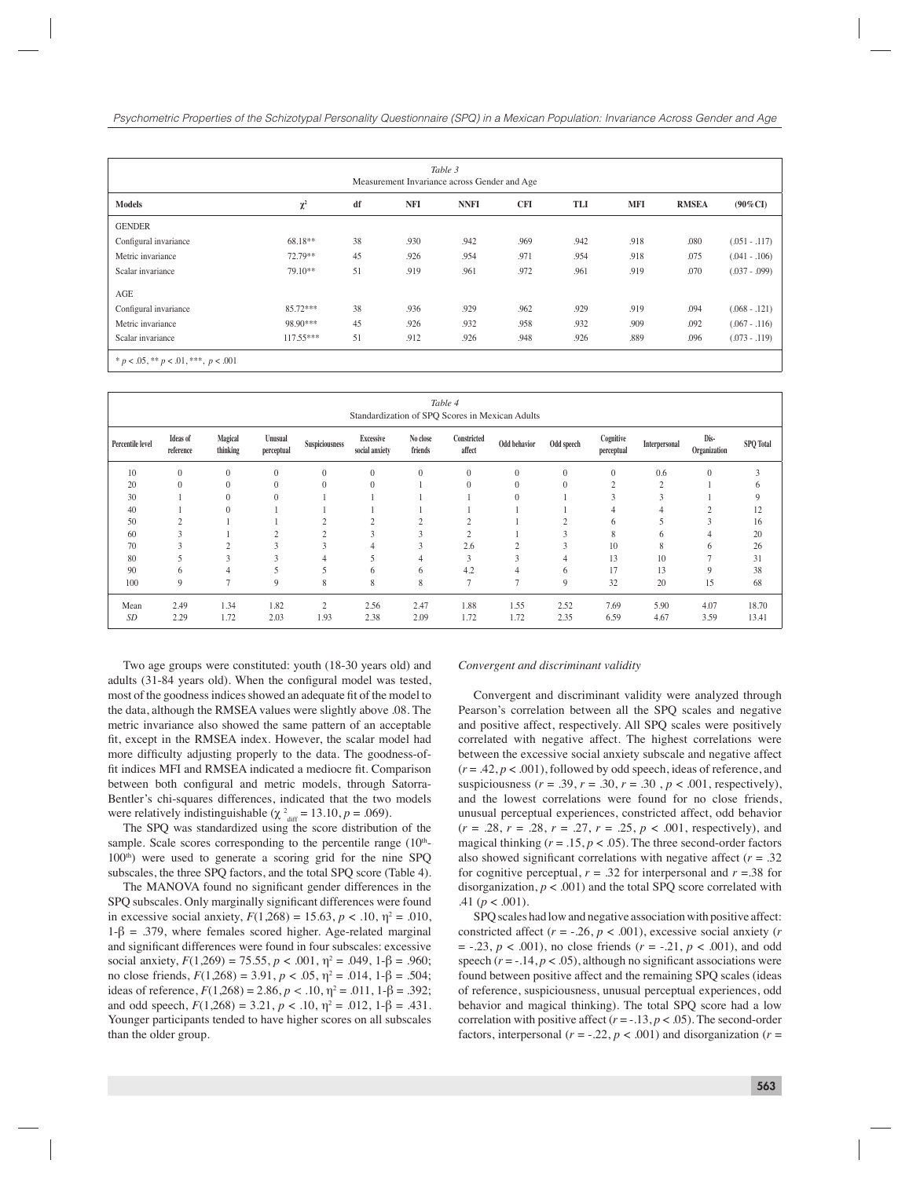| Table 3<br>Measurement Invariance across Gender and Age |             |    |      |             |            |      |            |              |                 |  |  |
|---------------------------------------------------------|-------------|----|------|-------------|------------|------|------------|--------------|-----------------|--|--|
| <b>Models</b>                                           | $\chi^2$    | df | NFI  | <b>NNFI</b> | <b>CFI</b> | TLI  | <b>MFI</b> | <b>RMSEA</b> | $(90\%CI)$      |  |  |
| <b>GENDER</b>                                           |             |    |      |             |            |      |            |              |                 |  |  |
| Configural invariance                                   | 68.18**     | 38 | .930 | .942        | .969       | .942 | .918       | .080         | $(.051-.117)$   |  |  |
| Metric invariance                                       | 72.79**     | 45 | .926 | .954        | .971       | .954 | .918       | .075         | $(.041-.106)$   |  |  |
| Scalar invariance                                       | 79.10**     | 51 | .919 | .961        | .972       | .961 | .919       | .070         | $(.037 - .099)$ |  |  |
| AGE                                                     |             |    |      |             |            |      |            |              |                 |  |  |
| Configural invariance                                   | 85.72***    | 38 | .936 | .929        | .962       | .929 | .919       | .094         | $(.068 - .121)$ |  |  |
| Metric invariance                                       | 98.90***    | 45 | .926 | .932        | .958       | .932 | .909       | .092         | $(.067-.116)$   |  |  |
| Scalar invariance                                       | $117.55***$ | 51 | .912 | .926        | .948       | .926 | .889       | .096         | $(.073 - .119)$ |  |  |
| * $p < .05$ , ** $p < .01$ , ***, $p < .001$            |             |    |      |             |            |      |            |              |                 |  |  |

| Table 4<br>Standardization of SPQ Scores in Mexican Adults |                              |                     |                       |                |                                    |                     |                       |                |              |                         |                |                      |                  |
|------------------------------------------------------------|------------------------------|---------------------|-----------------------|----------------|------------------------------------|---------------------|-----------------------|----------------|--------------|-------------------------|----------------|----------------------|------------------|
| Percentile level                                           | <b>Ideas</b> of<br>reference | Magical<br>thinking | Unusual<br>perceptual | Suspiciousness | <b>Excessive</b><br>social anxiety | No close<br>friends | Constricted<br>affect | Odd behavior   | Odd speech   | Cognitive<br>perceptual | Interpersonal  | Dis-<br>Organization | <b>SPQ</b> Total |
| 10                                                         | $\mathbf{0}$                 | $\mathbf{0}$        | $\mathbf{0}$          | $\overline{0}$ | $\mathbf{0}$                       | $\mathbf{0}$        | $\mathbf{0}$          | $\mathbf{0}$   | $\mathbf{0}$ | $\mathbf{0}$            | 0.6            | $\mathbf{0}$         | 3                |
| 20                                                         | $\mathbf{0}$                 | $\theta$            | $\theta$              | $\theta$       | $\Omega$                           |                     | $\theta$              | $\Omega$       | $\mathbf{0}$ | $\overline{2}$          | $\overline{2}$ |                      | 6                |
| 30                                                         |                              | $\theta$            | $\theta$              |                |                                    |                     |                       | $\overline{0}$ |              | $\mathcal{R}$           |                |                      | 9                |
| 40                                                         |                              | $\theta$            |                       |                |                                    |                     |                       |                |              |                         | 4              | $\Delta$             | 12               |
| 50                                                         | $\sim$                       |                     |                       |                | $\Delta$                           | $\sim$              | $\sim$                |                | $\Delta$     | 6                       | 5              | 3                    | 16               |
| 60                                                         | $\mathcal{R}$                |                     | $\bigcap$             | $\sim$         | 3                                  | 3                   | $\overline{2}$        |                | 3            | 8                       | 6              | 4                    | 20               |
| 70                                                         | h                            | $\Delta$            | 3                     | $\Delta$       | 4                                  | 3                   | 2.6                   | $\overline{2}$ | 3            | 10                      | 8              | 6                    | 26               |
| 80                                                         |                              | 3                   | 3                     |                |                                    | 4                   | 3                     | 3              | 4            | 13                      | 10             | o                    | 31               |
| 90                                                         | 6                            | 4                   | 5                     |                | 6                                  | 6                   | 4.2                   | 4              | 6            | 17                      | 13             | 9                    | 38               |
| 100                                                        | 9                            | $\overline{7}$      | 9                     | 8              | 8                                  | 8                   | $\overline{7}$        | ⇁              | 9            | 32                      | 20             | 15                   | 68               |
| Mean                                                       | 2.49                         | 1.34                | 1.82                  | $\overline{2}$ | 2.56                               | 2.47                | 1.88                  | 1.55           | 2.52         | 7.69                    | 5.90           | 4.07                 | 18.70            |
| SD                                                         | 2.29                         | 1.72                | 2.03                  | 1.93           | 2.38                               | 2.09                | 1.72                  | 1.72           | 2.35         | 6.59                    | 4.67           | 3.59                 | 13.41            |

Two age groups were constituted: youth (18-30 years old) and adults (31-84 years old). When the configural model was tested, most of the goodness indices showed an adequate fit of the model to the data, although the RMSEA values were slightly above .08. The metric invariance also showed the same pattern of an acceptable fit, except in the RMSEA index. However, the scalar model had more difficulty adjusting properly to the data. The goodness-offit indices MFI and RMSEA indicated a mediocre fit. Comparison between both configural and metric models, through Satorra-Bentler's chi-squares differences, indicated that the two models were relatively indistinguishable ( $\chi^2$ <sub>diff</sub> = 13.10, *p* = .069).

The SPQ was standardized using the score distribution of the sample. Scale scores corresponding to the percentile range  $(10<sup>th</sup>-$ 100<sup>th</sup>) were used to generate a scoring grid for the nine SPQ subscales, the three SPQ factors, and the total SPQ score (Table 4).

The MANOVA found no significant gender differences in the SPQ subscales. Only marginally significant differences were found in excessive social anxiety,  $F(1,268) = 15.63$ ,  $p < .10$ ,  $\eta^2 = .010$ ,  $1-\beta = 0.379$ , where females scored higher. Age-related marginal and significant differences were found in four subscales: excessive social anxiety,  $F(1,269) = 75.55$ ,  $p < .001$ ,  $\eta^2 = .049$ ,  $1-\beta = .960$ ; no close friends,  $F(1,268) = 3.91$ ,  $p < .05$ ,  $η<sup>2</sup> = .014$ ,  $1-β = .504$ ; ideas of reference,  $F(1,268) = 2.86$ ,  $p < .10$ ,  $η<sup>2</sup> = .011$ ,  $1-β = .392$ ; and odd speech,  $F(1,268) = 3.21$ ,  $p < .10$ ,  $\eta^2 = .012$ ,  $1-\beta = .431$ . Younger participants tended to have higher scores on all subscales than the older group.

#### *Convergent and discriminant validity*

Convergent and discriminant validity were analyzed through Pearson's correlation between all the SPQ scales and negative and positive affect, respectively. All SPQ scales were positively correlated with negative affect. The highest correlations were between the excessive social anxiety subscale and negative affect  $(r = .42, p < .001)$ , followed by odd speech, ideas of reference, and suspiciousness ( $r = .39$ ,  $r = .30$ ,  $r = .30$ ,  $p < .001$ , respectively), and the lowest correlations were found for no close friends, unusual perceptual experiences, constricted affect, odd behavior (*r* = .28, *r* = .28, *r* = .27, *r* = .25, *p* < .001, respectively), and magical thinking  $(r = .15, p < .05)$ . The three second-order factors also showed significant correlations with negative affect  $(r = .32)$ for cognitive perceptual,  $r = .32$  for interpersonal and  $r = .38$  for disorganization,  $p < .001$ ) and the total SPO score correlated with .41 ( $p < .001$ ).

SPQ scales had low and negative association with positive affect: constricted affect  $(r = -.26, p < .001)$ , excessive social anxiety  $(r)$ = -.23, *p* < .001), no close friends (*r* = -.21, *p* < .001), and odd speech  $(r = -14, p < .05)$ , although no significant associations were found between positive affect and the remaining SPQ scales (ideas of reference, suspiciousness, unusual perceptual experiences, odd behavior and magical thinking). The total SPQ score had a low correlation with positive affect  $(r = -13, p < .05)$ . The second-order factors, interpersonal ( $r = -0.22$ ,  $p < 0.001$ ) and disorganization ( $r =$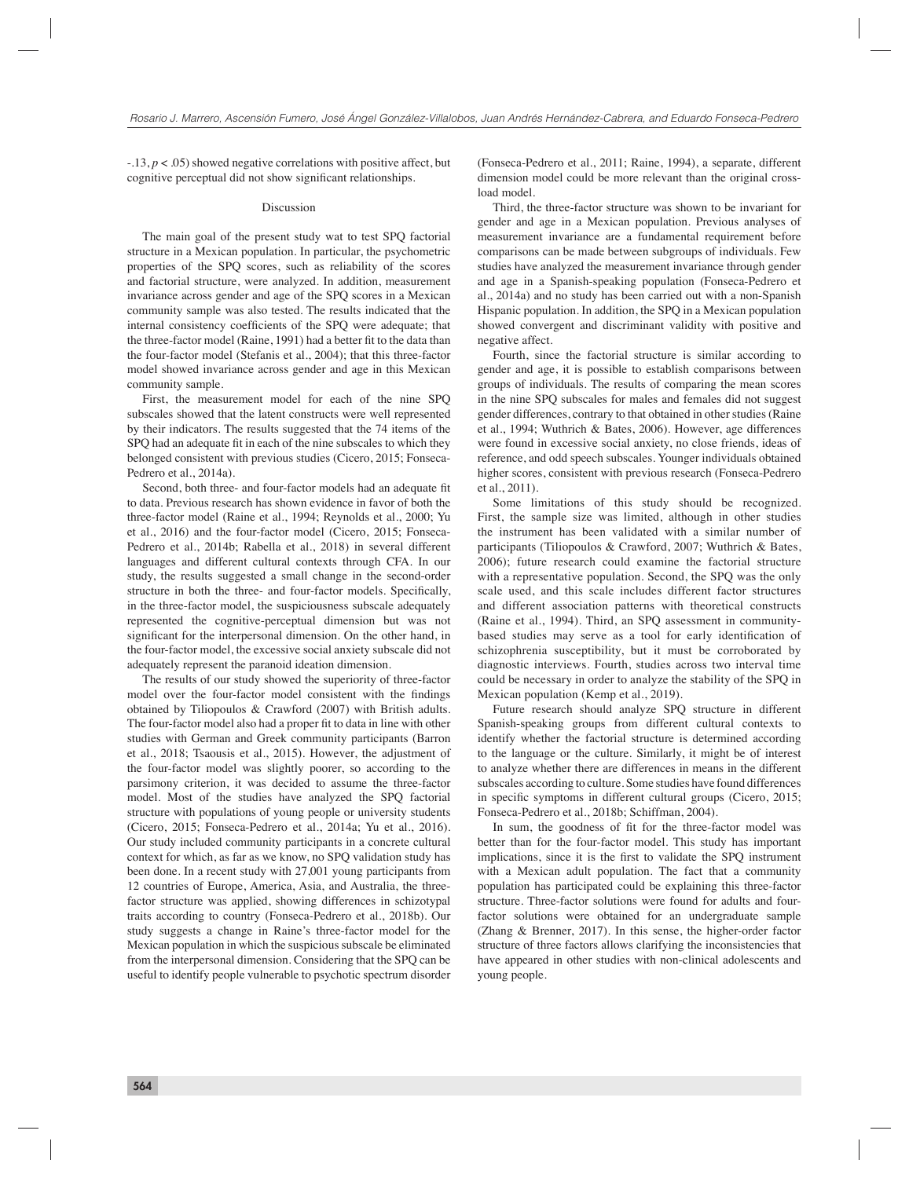-.13, *p* < .05) showed negative correlations with positive affect, but cognitive perceptual did not show significant relationships.

#### Discussion

The main goal of the present study wat to test SPQ factorial structure in a Mexican population. In particular, the psychometric properties of the SPQ scores, such as reliability of the scores and factorial structure, were analyzed. In addition, measurement invariance across gender and age of the SPQ scores in a Mexican community sample was also tested. The results indicated that the internal consistency coefficients of the SPQ were adequate; that the three-factor model (Raine, 1991) had a better fit to the data than the four-factor model (Stefanis et al., 2004); that this three-factor model showed invariance across gender and age in this Mexican community sample.

First, the measurement model for each of the nine SPQ subscales showed that the latent constructs were well represented by their indicators. The results suggested that the 74 items of the SPQ had an adequate fit in each of the nine subscales to which they belonged consistent with previous studies (Cicero, 2015; Fonseca-Pedrero et al., 2014a).

Second, both three- and four-factor models had an adequate fit to data. Previous research has shown evidence in favor of both the three-factor model (Raine et al., 1994; Reynolds et al., 2000; Yu et al., 2016) and the four-factor model (Cicero, 2015; Fonseca-Pedrero et al., 2014b; Rabella et al., 2018) in several different languages and different cultural contexts through CFA. In our study, the results suggested a small change in the second-order structure in both the three- and four-factor models. Specifically, in the three-factor model, the suspiciousness subscale adequately represented the cognitive-perceptual dimension but was not significant for the interpersonal dimension. On the other hand, in the four-factor model, the excessive social anxiety subscale did not adequately represent the paranoid ideation dimension.

The results of our study showed the superiority of three-factor model over the four-factor model consistent with the findings obtained by Tiliopoulos & Crawford (2007) with British adults. The four-factor model also had a proper fit to data in line with other studies with German and Greek community participants (Barron et al., 2018; Tsaousis et al., 2015). However, the adjustment of the four-factor model was slightly poorer, so according to the parsimony criterion, it was decided to assume the three-factor model. Most of the studies have analyzed the SPQ factorial structure with populations of young people or university students (Cicero, 2015; Fonseca-Pedrero et al., 2014a; Yu et al., 2016). Our study included community participants in a concrete cultural context for which, as far as we know, no SPQ validation study has been done. In a recent study with 27,001 young participants from 12 countries of Europe, America, Asia, and Australia, the threefactor structure was applied, showing differences in schizotypal traits according to country (Fonseca-Pedrero et al., 2018b). Our study suggests a change in Raine's three-factor model for the Mexican population in which the suspicious subscale be eliminated from the interpersonal dimension. Considering that the SPQ can be useful to identify people vulnerable to psychotic spectrum disorder (Fonseca-Pedrero et al., 2011; Raine, 1994), a separate, different dimension model could be more relevant than the original crossload model.

Third, the three-factor structure was shown to be invariant for gender and age in a Mexican population. Previous analyses of measurement invariance are a fundamental requirement before comparisons can be made between subgroups of individuals. Few studies have analyzed the measurement invariance through gender and age in a Spanish-speaking population (Fonseca-Pedrero et al., 2014a) and no study has been carried out with a non-Spanish Hispanic population. In addition, the SPQ in a Mexican population showed convergent and discriminant validity with positive and negative affect.

Fourth, since the factorial structure is similar according to gender and age, it is possible to establish comparisons between groups of individuals. The results of comparing the mean scores in the nine SPQ subscales for males and females did not suggest gender differences, contrary to that obtained in other studies (Raine et al., 1994; Wuthrich & Bates, 2006). However, age differences were found in excessive social anxiety, no close friends, ideas of reference, and odd speech subscales. Younger individuals obtained higher scores, consistent with previous research (Fonseca-Pedrero et al., 2011).

Some limitations of this study should be recognized. First, the sample size was limited, although in other studies the instrument has been validated with a similar number of participants (Tiliopoulos & Crawford, 2007; Wuthrich & Bates, 2006); future research could examine the factorial structure with a representative population. Second, the SPQ was the only scale used, and this scale includes different factor structures and different association patterns with theoretical constructs (Raine et al., 1994). Third, an SPQ assessment in communitybased studies may serve as a tool for early identification of schizophrenia susceptibility, but it must be corroborated by diagnostic interviews. Fourth, studies across two interval time could be necessary in order to analyze the stability of the SPQ in Mexican population (Kemp et al., 2019).

Future research should analyze SPQ structure in different Spanish-speaking groups from different cultural contexts to identify whether the factorial structure is determined according to the language or the culture. Similarly, it might be of interest to analyze whether there are differences in means in the different subscales according to culture. Some studies have found differences in specific symptoms in different cultural groups (Cicero, 2015; Fonseca-Pedrero et al., 2018b; Schiffman, 2004).

In sum, the goodness of fit for the three-factor model was better than for the four-factor model. This study has important implications, since it is the first to validate the SPQ instrument with a Mexican adult population. The fact that a community population has participated could be explaining this three-factor structure. Three-factor solutions were found for adults and fourfactor solutions were obtained for an undergraduate sample (Zhang & Brenner, 2017). In this sense, the higher-order factor structure of three factors allows clarifying the inconsistencies that have appeared in other studies with non-clinical adolescents and young people.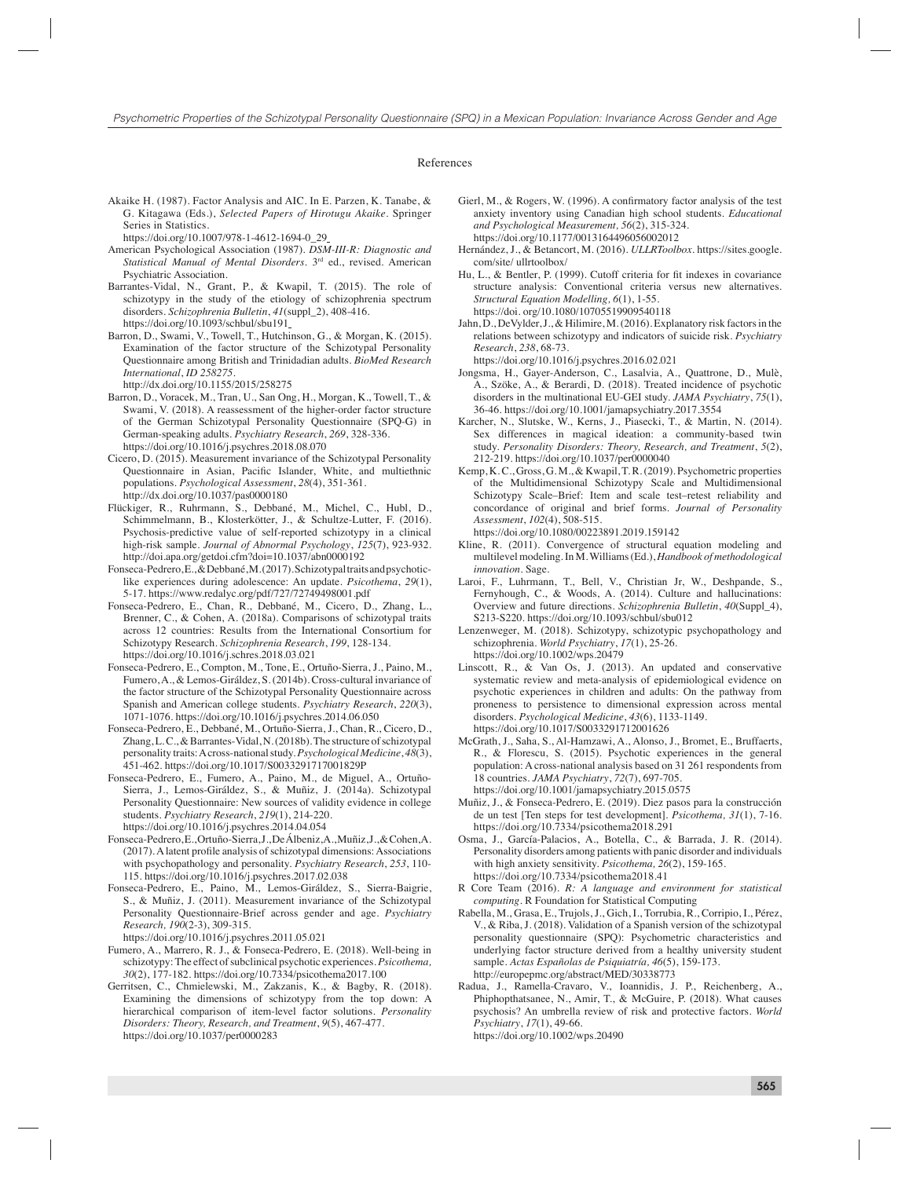#### References

Akaike H. (1987). Factor Analysis and AIC. In E. Parzen, K. Tanabe, & G. Kitagawa (Eds.), *Selected Papers of Hirotugu Akaike*. Springer Series in Statistics.

- American Psychological Association (1987). *DSM-III-R: Diagnostic and Statistical Manual of Mental Disorders*. 3rd ed., revised. American Psychiatric Association.
- Barrantes-Vidal, N., Grant, P., & Kwapil, T. (2015). The role of schizotypy in the study of the etiology of schizophrenia spectrum disorders. *Schizophrenia Bulletin*, *41*(suppl\_2), 408-416. https://doi.org/10.1093/schbul/sbu191
- Barron, D., Swami, V., Towell, T., Hutchinson, G., & Morgan, K. (2015). Examination of the factor structure of the Schizotypal Personality Questionnaire among British and Trinidadian adults. *BioMed Research International*, *ID 258275*.
	- http://dx.doi.org/10.1155/2015/258275
- Barron, D., Voracek, M., Tran, U., San Ong, H., Morgan, K., Towell, T., & Swami, V. (2018). A reassessment of the higher-order factor structure of the German Schizotypal Personality Questionnaire (SPQ-G) in German-speaking adults. *Psychiatry Research*, *269*, 328-336. https://doi.org/10.1016/j.psychres.2018.08.070
- Cicero, D. (2015). Measurement invariance of the Schizotypal Personality Questionnaire in Asian, Pacific Islander, White, and multiethnic populations. *Psychological Assessment*, *28*(4), 351-361. http://dx.doi.org/10.1037/pas0000180
- Flückiger, R., Ruhrmann, S., Debbané, M., Michel, C., Hubl, D., Schimmelmann, B., Klosterkötter, J., & Schultze-Lutter, F. (2016). Psychosis-predictive value of self-reported schizotypy in a clinical high-risk sample. *Journal of Abnormal Psychology*, *125*(7), 923-932. http://doi.apa.org/getdoi.cfm?doi=10.1037/abn0000192
- Fonseca-Pedrero, E., & Debbané, M. (2017). Schizotypal traits and psychoticlike experiences during adolescence: An update. *Psicothema*, *29*(1), 5-17. https://www.redalyc.org/pdf/727/72749498001.pdf
- Fonseca-Pedrero, E., Chan, R., Debbané, M., Cicero, D., Zhang, L., Brenner, C., & Cohen, A. (2018a). Comparisons of schizotypal traits across 12 countries: Results from the International Consortium for Schizotypy Research. *Schizophrenia Research*, *199*, 128-134. https://doi.org/10.1016/j.schres.2018.03.021
- Fonseca-Pedrero, E., Compton, M., Tone, E., Ortuño-Sierra, J., Paino, M., Fumero, A., & Lemos-Giráldez, S. (2014b). Cross-cultural invariance of the factor structure of the Schizotypal Personality Questionnaire across Spanish and American college students. *Psychiatry Research*, *220*(3), 1071-1076. https://doi.org/10.1016/j.psychres.2014.06.050
- Fonseca-Pedrero, E., Debbané, M., Ortuño-Sierra, J., Chan, R., Cicero, D., Zhang, L. C., & Barrantes-Vidal, N. (2018b). The structure of schizotypal personality traits: A cross-national study. *Psychological Medicine*, *48*(3), 451-462. https://doi.org/10.1017/S0033291717001829P
- Fonseca-Pedrero, E., Fumero, A., Paino, M., de Miguel, A., Ortuño-Sierra, J., Lemos-Giráldez, S., & Muñiz, J. (2014a). Schizotypal Personality Questionnaire: New sources of validity evidence in college students. *Psychiatry Research*, *219*(1), 214-220. https://doi.org/10.1016/j.psychres.2014.04.054
- Fonseca-Pedrero, E., Ortuño-Sierra, J., De Álbeniz, A., Muñiz, J., & Cohen, A. (2017). A latent profile analysis of schizotypal dimensions: Associations with psychopathology and personality. *Psychiatry Research*, *253*, 110- 115. https://doi.org/10.1016/j.psychres.2017.02.038
- Fonseca-Pedrero, E., Paino, M., Lemos-Giráldez, S., Sierra-Baigrie, S., & Muñiz, J. (2011). Measurement invariance of the Schizotypal Personality Questionnaire-Brief across gender and age. *Psychiatry Research, 190*(2-3), 309-315.

https://doi.org/10.1016/j.psychres.2011.05.021

- Fumero, A., Marrero, R. J., & Fonseca-Pedrero, E. (2018). Well-being in schizotypy: The effect of subclinical psychotic experiences. *Psicothema, 30*(2), 177-182. https://doi.org/10.7334/psicothema2017.100
- Gerritsen, C., Chmielewski, M., Zakzanis, K., & Bagby, R. (2018). Examining the dimensions of schizotypy from the top down: A hierarchical comparison of item-level factor solutions. *Personality Disorders: Theory, Research, and Treatment*, *9*(5), 467-477. https://doi.org/10.1037/per0000283
- Gierl, M., & Rogers, W. (1996). A confirmatory factor analysis of the test anxiety inventory using Canadian high school students. *Educational and Psychological Measurement, 56*(2), 315-324. https://doi.org/10.1177/0013164496056002012
- Hernández, J., & Betancort, M. (2016). *ULLRToolbox*. https://sites.google. com/site/ ullrtoolbox/
- Hu, L., & Bentler, P. (1999). Cutoff criteria for fit indexes in covariance structure analysis: Conventional criteria versus new alternatives. *Structural Equation Modelling, 6*(1), 1-55. https://doi. org/10.1080/10705519909540118
- Jahn, D., DeVylder, J., & Hilimire, M. (2016). Explanatory risk factors in the relations between schizotypy and indicators of suicide risk. *Psychiatry Research*, *238*, 68-73.

https://doi.org/10.1016/j.psychres.2016.02.021

- Jongsma, H., Gayer-Anderson, C., Lasalvia, A., Quattrone, D., Mulè, A., Szöke, A., & Berardi, D. (2018). Treated incidence of psychotic disorders in the multinational EU-GEI study. *JAMA Psychiatry*, *75*(1), 36-46. https://doi.org/10.1001/jamapsychiatry.2017.3554
- Karcher, N., Slutske, W., Kerns, J., Piasecki, T., & Martin, N. (2014). Sex differences in magical ideation: a community-based twin study. *Personality Disorders: Theory, Research, and Treatment*, *5*(2), 212-219. https://doi.org/10.1037/per0000040
- Kemp, K. C., Gross, G. M., & Kwapil, T. R. (2019). Psychometric properties of the Multidimensional Schizotypy Scale and Multidimensional Schizotypy Scale–Brief: Item and scale test–retest reliability and concordance of original and brief forms. *Journal of Personality Assessment*, *102*(4), 508-515.

https://doi.org/10.1080/00223891.2019.159142

- Kline, R. (2011). Convergence of structural equation modeling and multilevel modeling. In M. Williams (Ed.), *Handbook of methodological innovation*. Sage.
- Laroi, F., Luhrmann, T., Bell, V., Christian Jr, W., Deshpande, S., Fernyhough, C., & Woods, A. (2014). Culture and hallucinations: Overview and future directions. *Schizophrenia Bulletin*, *40*(Suppl\_4), S213-S220. https://doi.org/10.1093/schbul/sbu012
- Lenzenweger, M. (2018). Schizotypy, schizotypic psychopathology and schizophrenia. *World Psychiatry*, *17*(1), 25-26. https://doi.org/10.1002/wps.20479
- Linscott, R., & Van Os, J. (2013). An updated and conservative systematic review and meta-analysis of epidemiological evidence on psychotic experiences in children and adults: On the pathway from proneness to persistence to dimensional expression across mental disorders. *Psychological Medicine*, *43*(6), 1133-1149. https://doi.org/10.1017/S0033291712001626
- McGrath, J., Saha, S., Al-Hamzawi, A., Alonso, J., Bromet, E., Bruffaerts, R., & Florescu, S. (2015). Psychotic experiences in the general population: A cross-national analysis based on 31 261 respondents from 18 countries. *JAMA Psychiatry*, *72*(7), 697-705. https://doi.org/10.1001/jamapsychiatry.2015.0575
	-
- Muñiz, J., & Fonseca-Pedrero, E. (2019). Diez pasos para la construcción de un test [Ten steps for test development]. *Psicothema, 31*(1), 7-16. https://doi.org/10.7334/psicothema2018.291
- Osma, J., García-Palacios, A., Botella, C., & Barrada, J. R. (2014). Personality disorders among patients with panic disorder and individuals with high anxiety sensitivity. *Psicothema, 26*(2), 159-165. https://doi.org/10.7334/psicothema2018.41
- R Core Team (2016). *R: A language and environment for statistical computing*. R Foundation for Statistical Computing
- Rabella, M., Grasa, E., Trujols, J., Gich, I., Torrubia, R., Corripio, I., Pérez, V., & Riba, J. (2018). Validation of a Spanish version of the schizotypal personality questionnaire (SPQ): Psychometric characteristics and underlying factor structure derived from a healthy university student sample. *Actas Españolas de Psiquiatría, 46*(5), 159-173. http://europepmc.org/abstract/MED/30338773
- Radua, J., Ramella-Cravaro, V., Ioannidis, J. P., Reichenberg, A., Phiphopthatsanee, N., Amir, T., & McGuire, P. (2018). What causes psychosis? An umbrella review of risk and protective factors. *World Psychiatry*, *17*(1), 49-66. https://doi.org/10.1002/wps.20490

https://doi.org/10.1007/978-1-4612-1694-0\_29